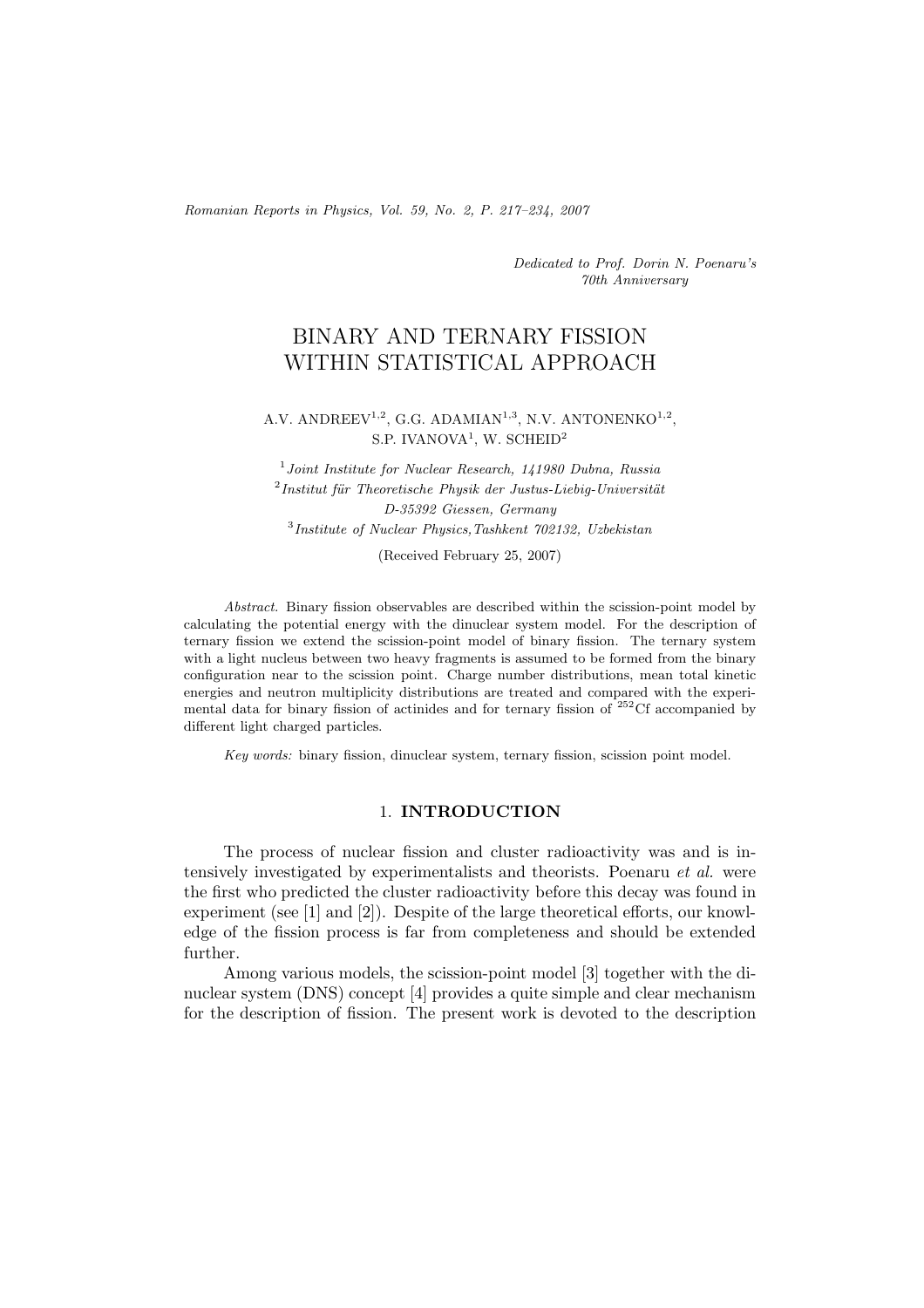*Romanian Reports in Physics, Vol. 59, No. 2, P. 217–234, 2007*

*Dedicated to Prof. Dorin N. Poenaru's 70th Anniversary*

# BINARY AND TERNARY FISSION WITHIN STATISTICAL APPROACH

# A.V. ANDREEV<sup>1,2</sup>, G.G. ADAMIAN<sup>1,3</sup>, N.V. ANTONENKO<sup>1,2</sup>, S.P. IVANOVA<sup>1</sup>, W. SCHEID<sup>2</sup>

<sup>1</sup>*Joint Institute for Nuclear Research, 141980 Dubna, Russia* <sup>2</sup>Institut für Theoretische Physik der Justus-Liebig-Universität *D-35392 Giessen, Germany* <sup>3</sup>*Institute of Nuclear Physics,Tashkent 702132, Uzbekistan*

(Received February 25, 2007)

*Abstract.* Binary fission observables are described within the scission-point model by calculating the potential energy with the dinuclear system model. For the description of ternary fission we extend the scission-point model of binary fission. The ternary system with a light nucleus between two heavy fragments is assumed to be formed from the binary configuration near to the scission point. Charge number distributions, mean total kinetic energies and neutron multiplicity distributions are treated and compared with the experimental data for binary fission of actinides and for ternary fission of  $252 \text{C}$  accompanied by different light charged particles.

*Key words:* binary fission, dinuclear system, ternary fission, scission point model.

# 1. **INTRODUCTION**

The process of nuclear fission and cluster radioactivity was and is intensively investigated by experimentalists and theorists. Poenaru *et al.* were the first who predicted the cluster radioactivity before this decay was found in experiment (see [1] and [2]). Despite of the large theoretical efforts, our knowledge of the fission process is far from completeness and should be extended further.

Among various models, the scission-point model [3] together with the dinuclear system (DNS) concept [4] provides a quite simple and clear mechanism for the description of fission. The present work is devoted to the description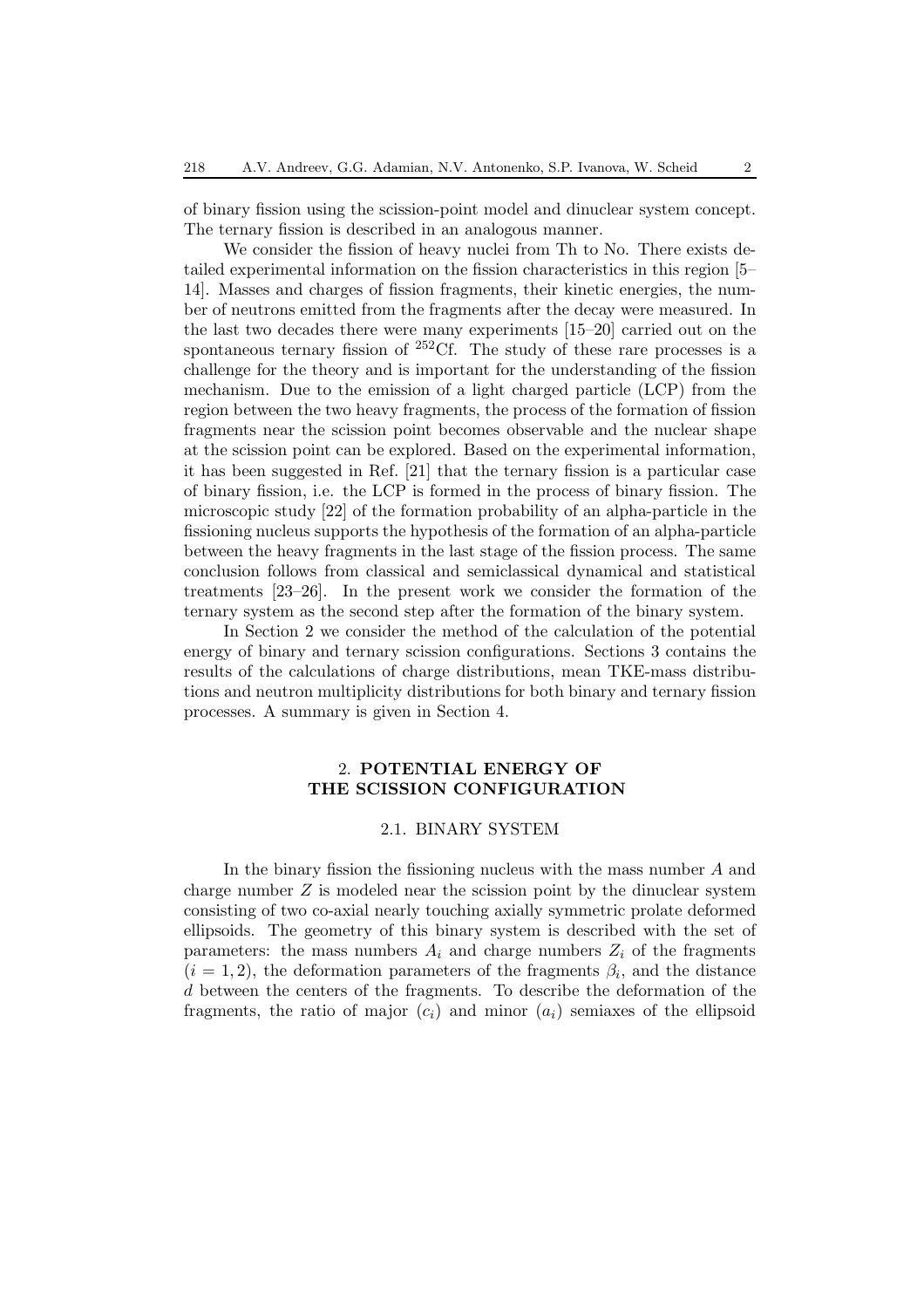of binary fission using the scission-point model and dinuclear system concept. The ternary fission is described in an analogous manner.

We consider the fission of heavy nuclei from Th to No. There exists detailed experimental information on the fission characteristics in this region [5– 14]. Masses and charges of fission fragments, their kinetic energies, the number of neutrons emitted from the fragments after the decay were measured. In the last two decades there were many experiments [15–20] carried out on the spontaneous ternary fission of  $^{252}$ Cf. The study of these rare processes is a challenge for the theory and is important for the understanding of the fission mechanism. Due to the emission of a light charged particle (LCP) from the region between the two heavy fragments, the process of the formation of fission fragments near the scission point becomes observable and the nuclear shape at the scission point can be explored. Based on the experimental information, it has been suggested in Ref. [21] that the ternary fission is a particular case of binary fission, i.e. the LCP is formed in the process of binary fission. The microscopic study [22] of the formation probability of an alpha-particle in the fissioning nucleus supports the hypothesis of the formation of an alpha-particle between the heavy fragments in the last stage of the fission process. The same conclusion follows from classical and semiclassical dynamical and statistical treatments [23–26]. In the present work we consider the formation of the ternary system as the second step after the formation of the binary system.

In Section 2 we consider the method of the calculation of the potential energy of binary and ternary scission configurations. Sections 3 contains the results of the calculations of charge distributions, mean TKE-mass distributions and neutron multiplicity distributions for both binary and ternary fission processes. A summary is given in Section 4.

# 2. **POTENTIAL ENERGY OF THE SCISSION CONFIGURATION**

# 2.1. BINARY SYSTEM

In the binary fission the fissioning nucleus with the mass number A and charge number  $Z$  is modeled near the scission point by the dinuclear system consisting of two co-axial nearly touching axially symmetric prolate deformed ellipsoids. The geometry of this binary system is described with the set of parameters: the mass numbers  $A_i$  and charge numbers  $Z_i$  of the fragments  $(i = 1, 2)$ , the deformation parameters of the fragments  $\beta_i$ , and the distance d between the centers of the fragments. To describe the deformation of the fragments, the ratio of major  $(c_i)$  and minor  $(a_i)$  semiaxes of the ellipsoid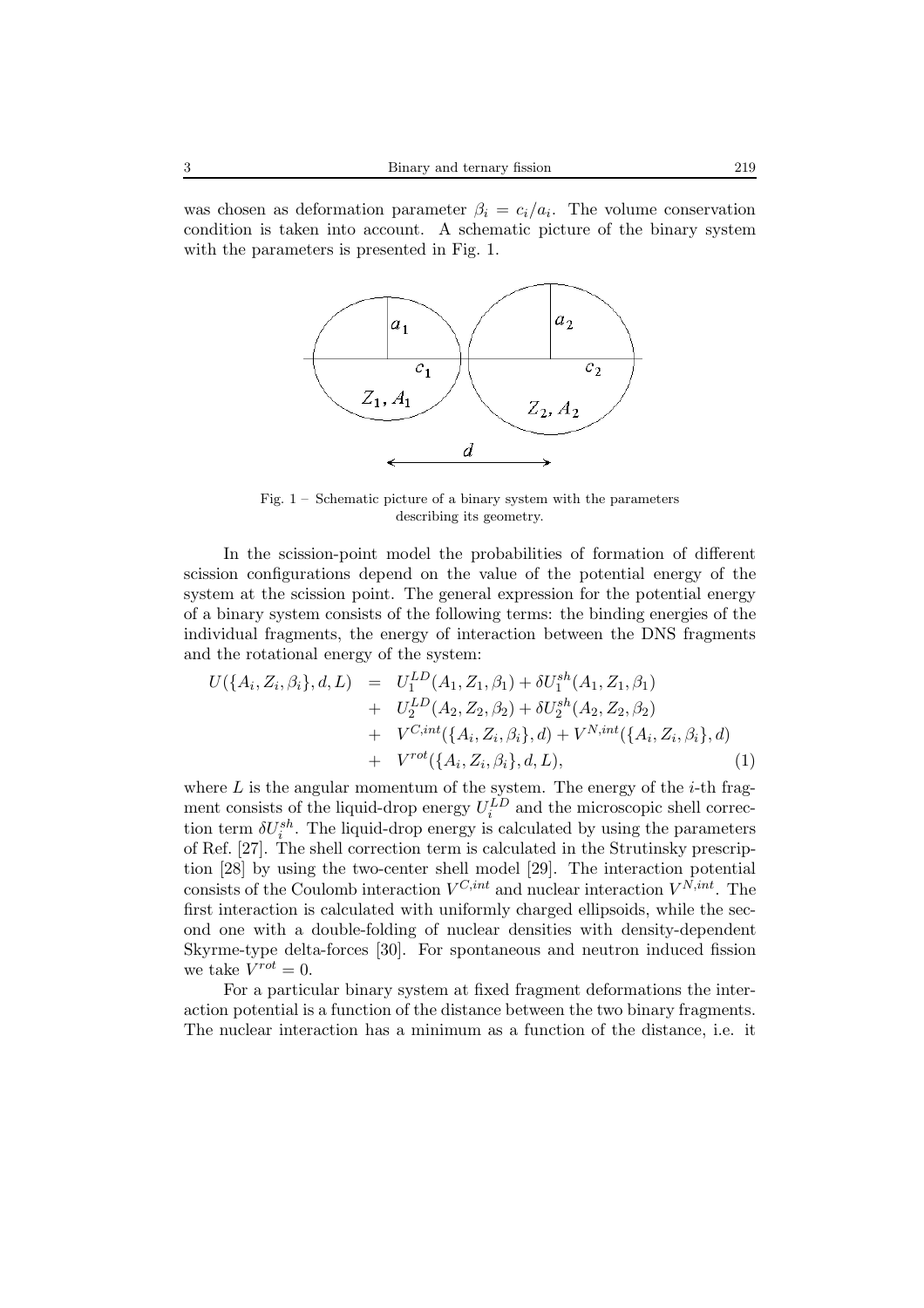was chosen as deformation parameter  $\beta_i = c_i/a_i$ . The volume conservation condition is taken into account. A schematic picture of the binary system with the parameters is presented in Fig. 1.



Fig. 1 – Schematic picture of a binary system with the parameters describing its geometry.

In the scission-point model the probabilities of formation of different scission configurations depend on the value of the potential energy of the system at the scission point. The general expression for the potential energy of a binary system consists of the following terms: the binding energies of the individual fragments, the energy of interaction between the DNS fragments and the rotational energy of the system:

$$
U(\{A_i, Z_i, \beta_i\}, d, L) = U_1^{LD}(A_1, Z_1, \beta_1) + \delta U_1^{sh}(A_1, Z_1, \beta_1) + U_2^{LD}(A_2, Z_2, \beta_2) + \delta U_2^{sh}(A_2, Z_2, \beta_2) + V^{C, int}(\{A_i, Z_i, \beta_i\}, d) + V^{N, int}(\{A_i, Z_i, \beta_i\}, d) + V^{rot}(\{A_i, Z_i, \beta_i\}, d, L),
$$
 (1)

where  $L$  is the angular momentum of the system. The energy of the *i*-th fragment consists of the liquid-drop energy  $U_i^{\tilde{L}\tilde{D}}$  and the microscopic shell correction term  $\delta U_i^{sh}$ . The liquid-drop energy is calculated by using the parameters of Ref. [27]. The shell correction term is calculated in the Strutinsky prescription [28] by using the two-center shell model [29]. The interaction potential consists of the Coulomb interaction  $V^{C, int}$  and nuclear interaction  $V^{\hat{N, int}}$ . The first interaction is calculated with uniformly charged ellipsoids, while the second one with a double-folding of nuclear densities with density-dependent Skyrme-type delta-forces [30]. For spontaneous and neutron induced fission we take  $V^{rot} = 0$ .

For a particular binary system at fixed fragment deformations the interaction potential is a function of the distance between the two binary fragments. The nuclear interaction has a minimum as a function of the distance, i.e. it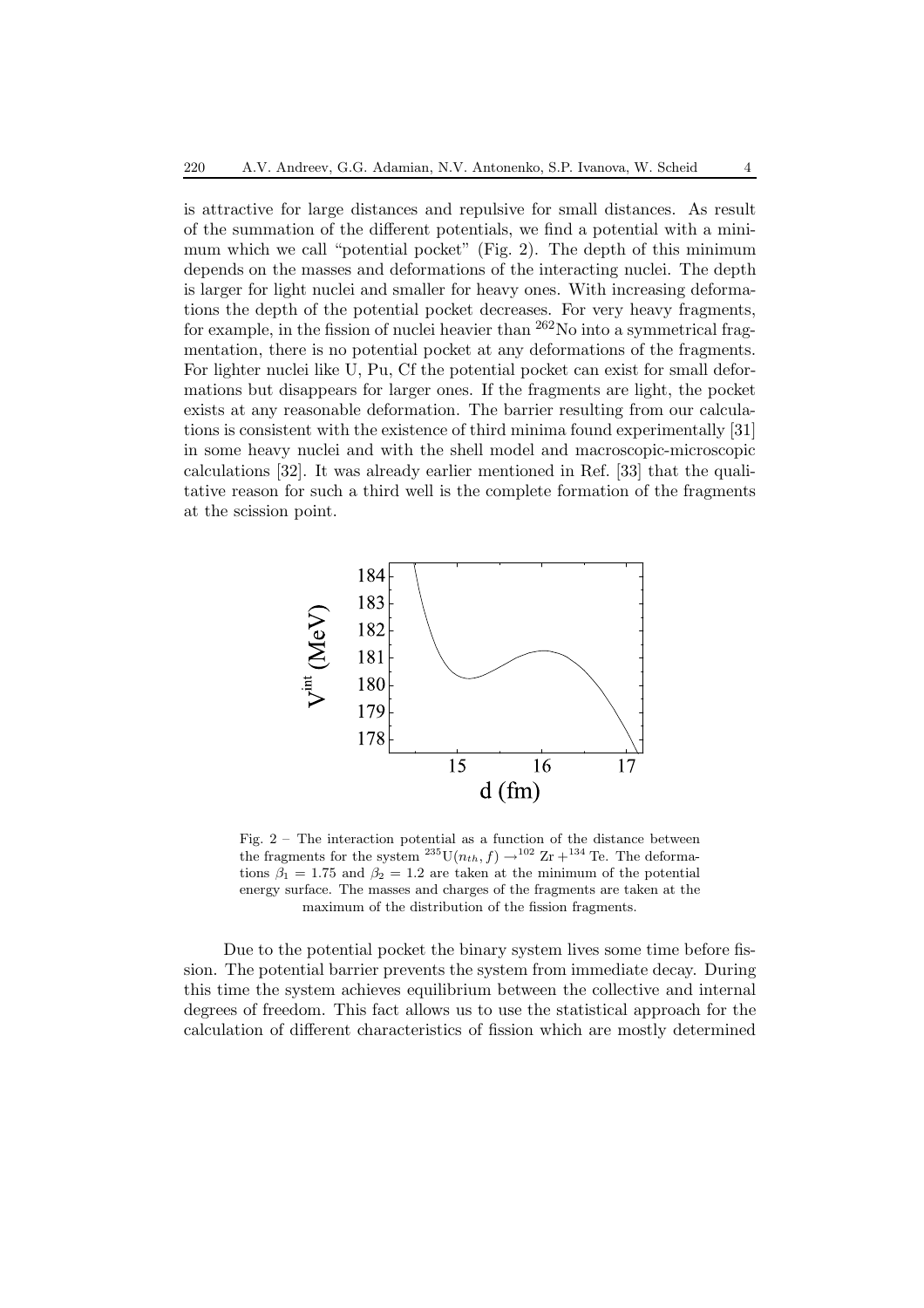is attractive for large distances and repulsive for small distances. As result of the summation of the different potentials, we find a potential with a minimum which we call "potential pocket" (Fig. 2). The depth of this minimum depends on the masses and deformations of the interacting nuclei. The depth is larger for light nuclei and smaller for heavy ones. With increasing deformations the depth of the potential pocket decreases. For very heavy fragments, for example, in the fission of nuclei heavier than  $262$ No into a symmetrical fragmentation, there is no potential pocket at any deformations of the fragments. For lighter nuclei like U, Pu, Cf the potential pocket can exist for small deformations but disappears for larger ones. If the fragments are light, the pocket exists at any reasonable deformation. The barrier resulting from our calculations is consistent with the existence of third minima found experimentally [31] in some heavy nuclei and with the shell model and macroscopic-microscopic calculations [32]. It was already earlier mentioned in Ref. [33] that the qualitative reason for such a third well is the complete formation of the fragments at the scission point.



Fig. 2 – The interaction potential as a function of the distance between the fragments for the system <sup>235</sup>U( $n_{th}$ , f)  $\rightarrow$ <sup>102</sup> Zr +<sup>134</sup> Te. The deformations  $\beta_1 = 1.75$  and  $\beta_2 = 1.2$  are taken at the minimum of the potential energy surface. The masses and charges of the fragments are taken at the maximum of the distribution of the fission fragments.

Due to the potential pocket the binary system lives some time before fission. The potential barrier prevents the system from immediate decay. During this time the system achieves equilibrium between the collective and internal degrees of freedom. This fact allows us to use the statistical approach for the calculation of different characteristics of fission which are mostly determined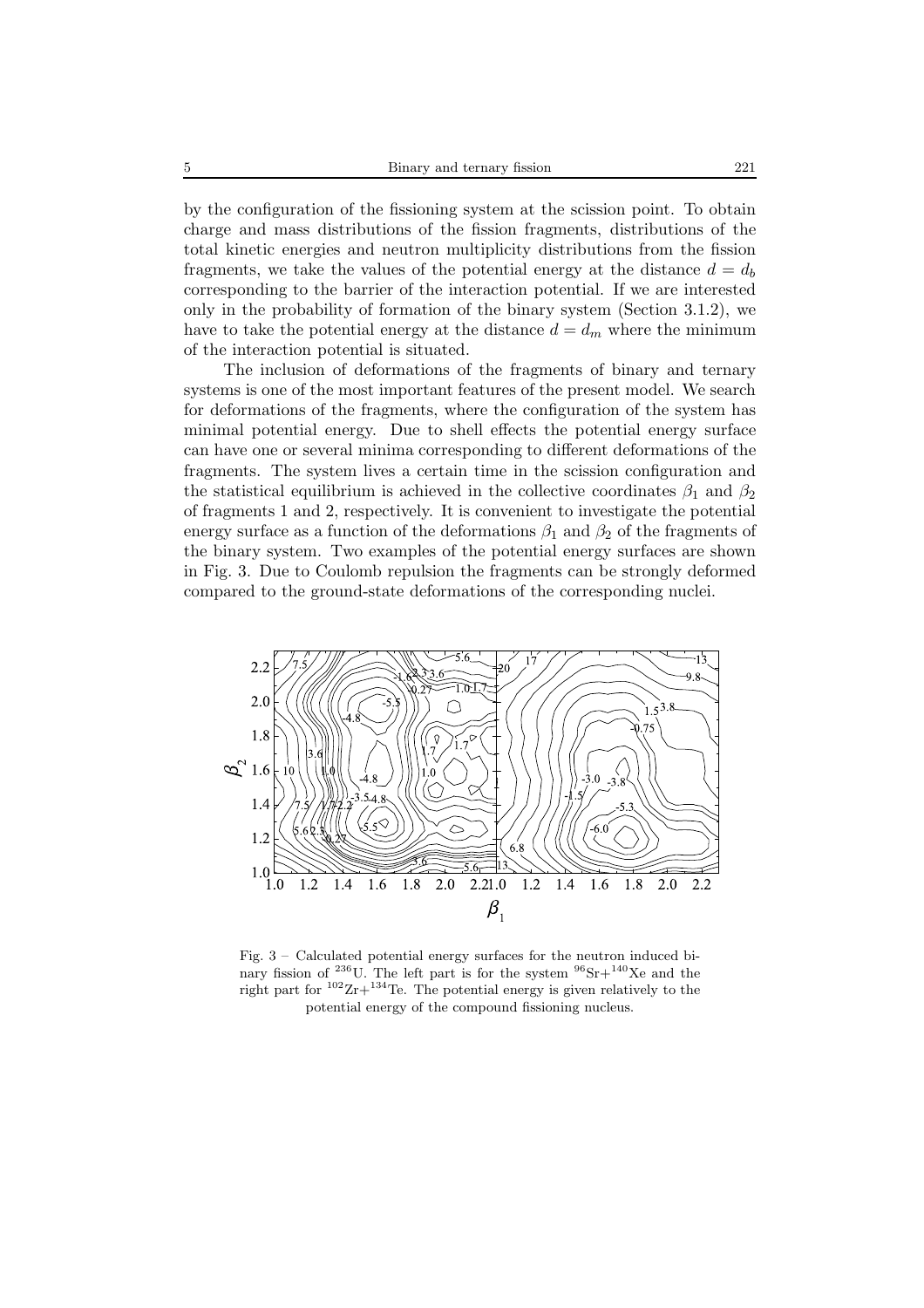by the configuration of the fissioning system at the scission point. To obtain charge and mass distributions of the fission fragments, distributions of the total kinetic energies and neutron multiplicity distributions from the fission fragments, we take the values of the potential energy at the distance  $d = d_b$ corresponding to the barrier of the interaction potential. If we are interested only in the probability of formation of the binary system (Section 3.1.2), we have to take the potential energy at the distance  $d = d_m$  where the minimum of the interaction potential is situated.

The inclusion of deformations of the fragments of binary and ternary systems is one of the most important features of the present model. We search for deformations of the fragments, where the configuration of the system has minimal potential energy. Due to shell effects the potential energy surface can have one or several minima corresponding to different deformations of the fragments. The system lives a certain time in the scission configuration and the statistical equilibrium is achieved in the collective coordinates  $\beta_1$  and  $\beta_2$ of fragments 1 and 2, respectively. It is convenient to investigate the potential energy surface as a function of the deformations  $\beta_1$  and  $\beta_2$  of the fragments of the binary system. Two examples of the potential energy surfaces are shown in Fig. 3. Due to Coulomb repulsion the fragments can be strongly deformed compared to the ground-state deformations of the corresponding nuclei.



Fig. 3 – Calculated potential energy surfaces for the neutron induced binary fission of <sup>236</sup>U. The left part is for the system  $96$ Sr $+$ <sup>140</sup>Xe and the right part for  $102Zr+134$  Te. The potential energy is given relatively to the potential energy of the compound fissioning nucleus.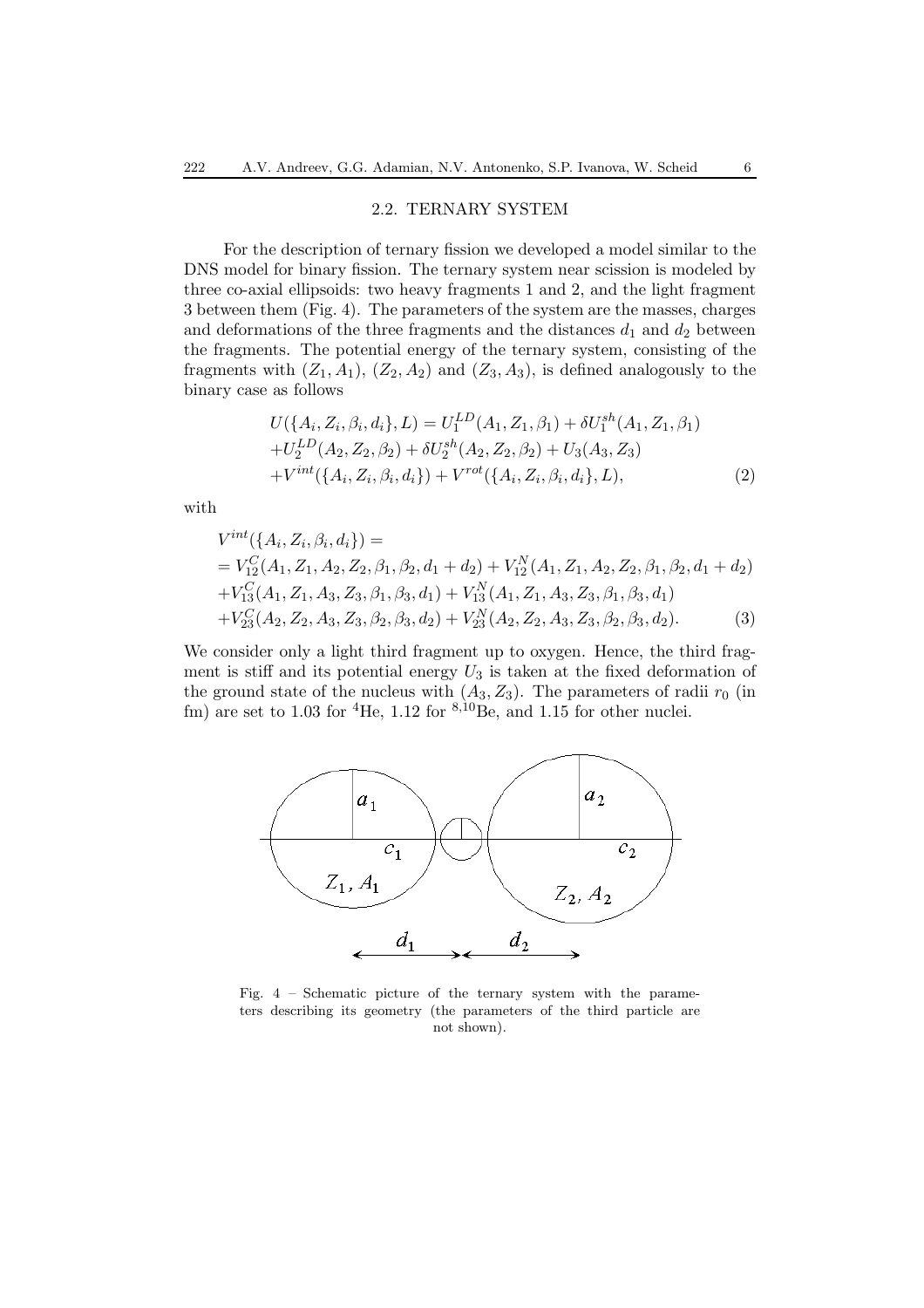### 2.2. TERNARY SYSTEM

For the description of ternary fission we developed a model similar to the DNS model for binary fission. The ternary system near scission is modeled by three co-axial ellipsoids: two heavy fragments 1 and 2, and the light fragment 3 between them (Fig. 4). The parameters of the system are the masses, charges and deformations of the three fragments and the distances  $d_1$  and  $d_2$  between the fragments. The potential energy of the ternary system, consisting of the fragments with  $(Z_1, A_1)$ ,  $(Z_2, A_2)$  and  $(Z_3, A_3)$ , is defined analogously to the binary case as follows

$$
U(\{A_i, Z_i, \beta_i, d_i\}, L) = U_1^{LD}(A_1, Z_1, \beta_1) + \delta U_1^{sh}(A_1, Z_1, \beta_1)
$$
  
+
$$
U_2^{LD}(A_2, Z_2, \beta_2) + \delta U_2^{sh}(A_2, Z_2, \beta_2) + U_3(A_3, Z_3)
$$
  
+
$$
V^{int}(\{A_i, Z_i, \beta_i, d_i\}) + V^{rot}(\{A_i, Z_i, \beta_i, d_i\}, L),
$$
 (2)

with

$$
V^{int}(\lbrace A_{i}, Z_{i}, \beta_{i}, d_{i} \rbrace) =
$$
  
=  $V_{12}^{C}(A_{1}, Z_{1}, A_{2}, Z_{2}, \beta_{1}, \beta_{2}, d_{1} + d_{2}) + V_{12}^{N}(A_{1}, Z_{1}, A_{2}, Z_{2}, \beta_{1}, \beta_{2}, d_{1} + d_{2})$   
+  $V_{13}^{C}(A_{1}, Z_{1}, A_{3}, Z_{3}, \beta_{1}, \beta_{3}, d_{1}) + V_{13}^{N}(A_{1}, Z_{1}, A_{3}, Z_{3}, \beta_{1}, \beta_{3}, d_{1})$   
+  $V_{23}^{C}(A_{2}, Z_{2}, A_{3}, Z_{3}, \beta_{2}, \beta_{3}, d_{2}) + V_{23}^{N}(A_{2}, Z_{2}, A_{3}, Z_{3}, \beta_{2}, \beta_{3}, d_{2}).$  (3)

We consider only a light third fragment up to oxygen. Hence, the third fragment is stiff and its potential energy  $U_3$  is taken at the fixed deformation of the ground state of the nucleus with  $(A_3, Z_3)$ . The parameters of radii  $r_0$  (in fm) are set to 1.03 for <sup>4</sup>He, 1.12 for  $8,10\text{Be}$ , and 1.15 for other nuclei.



Fig. 4 – Schematic picture of the ternary system with the parameters describing its geometry (the parameters of the third particle are not shown).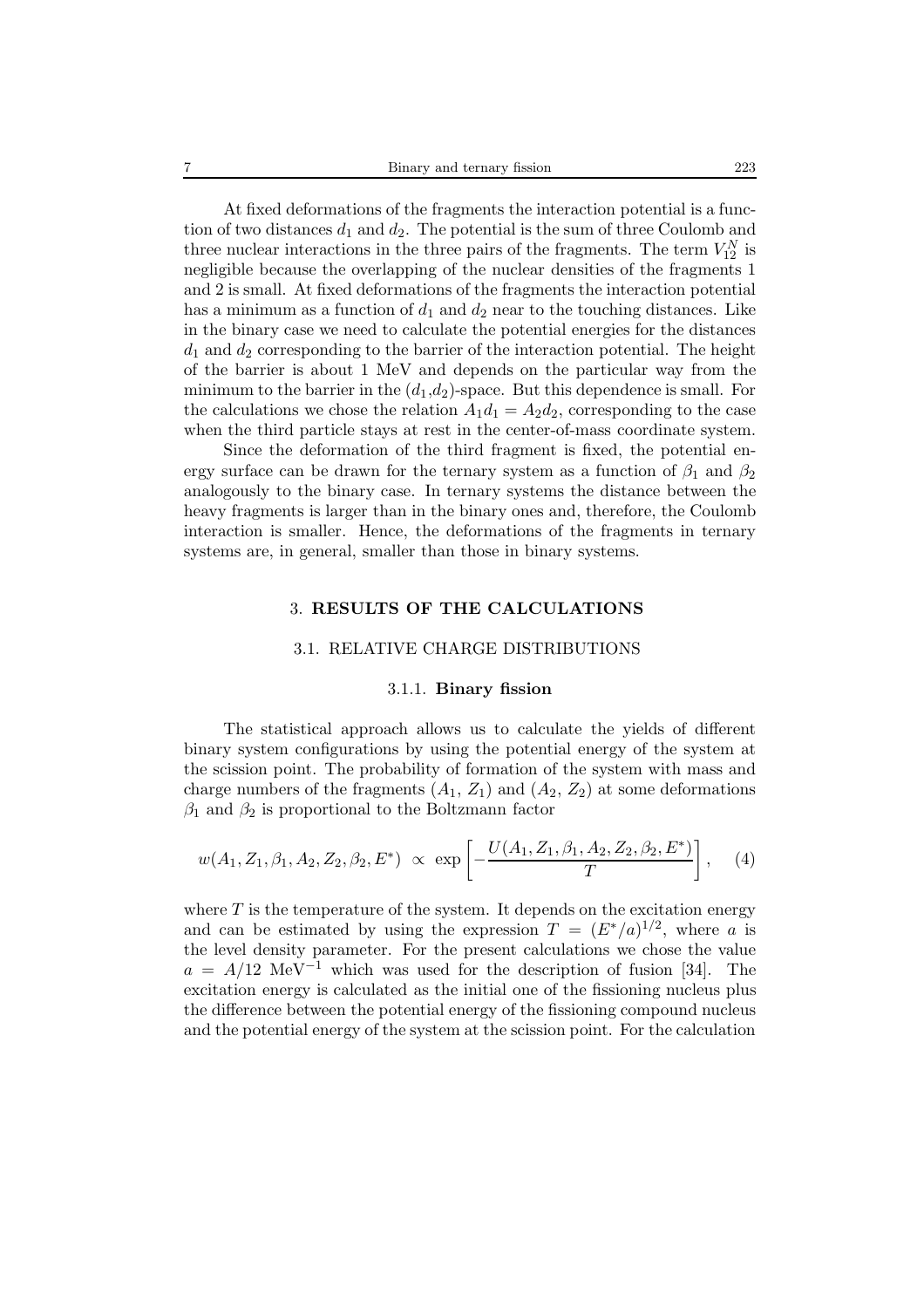At fixed deformations of the fragments the interaction potential is a function of two distances  $d_1$  and  $d_2$ . The potential is the sum of three Coulomb and three nuclear interactions in the three pairs of the fragments. The term  $V_{12}^N$  is negligible because the overlapping of the nuclear densities of the fragments 1 and 2 is small. At fixed deformations of the fragments the interaction potential has a minimum as a function of  $d_1$  and  $d_2$  near to the touching distances. Like in the binary case we need to calculate the potential energies for the distances  $d_1$  and  $d_2$  corresponding to the barrier of the interaction potential. The height of the barrier is about 1 MeV and depends on the particular way from the minimum to the barrier in the  $(d_1, d_2)$ -space. But this dependence is small. For the calculations we chose the relation  $A_1d_1 = A_2d_2$ , corresponding to the case when the third particle stays at rest in the center-of-mass coordinate system.

Since the deformation of the third fragment is fixed, the potential energy surface can be drawn for the ternary system as a function of  $\beta_1$  and  $\beta_2$ analogously to the binary case. In ternary systems the distance between the heavy fragments is larger than in the binary ones and, therefore, the Coulomb interaction is smaller. Hence, the deformations of the fragments in ternary systems are, in general, smaller than those in binary systems.

## 3. **RESULTS OF THE CALCULATIONS**

#### 3.1. RELATIVE CHARGE DISTRIBUTIONS

## 3.1.1. **Binary fission**

The statistical approach allows us to calculate the yields of different binary system configurations by using the potential energy of the system at the scission point. The probability of formation of the system with mass and charge numbers of the fragments  $(A_1, Z_1)$  and  $(A_2, Z_2)$  at some deformations  $\beta_1$  and  $\beta_2$  is proportional to the Boltzmann factor

$$
w(A_1, Z_1, \beta_1, A_2, Z_2, \beta_2, E^*) \propto \exp\left[-\frac{U(A_1, Z_1, \beta_1, A_2, Z_2, \beta_2, E^*)}{T}\right],
$$
 (4)

where  $T$  is the temperature of the system. It depends on the excitation energy and can be estimated by using the expression  $T = (E^*/a)^{1/2}$ , where a is the level density parameter. For the present calculations we chose the value  $a = A/12$  MeV<sup>-1</sup> which was used for the description of fusion [34]. The excitation energy is calculated as the initial one of the fissioning nucleus plus the difference between the potential energy of the fissioning compound nucleus and the potential energy of the system at the scission point. For the calculation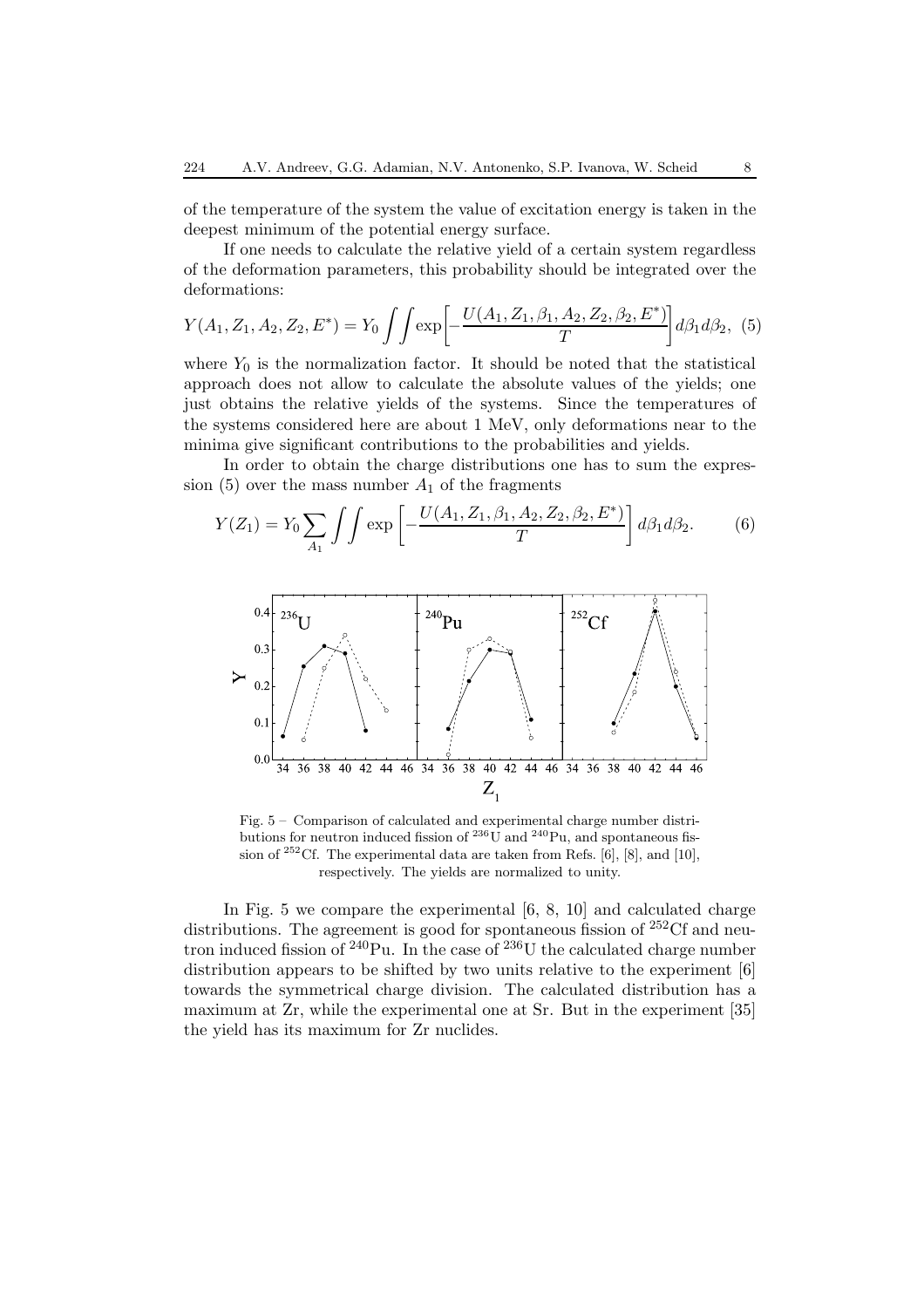of the temperature of the system the value of excitation energy is taken in the deepest minimum of the potential energy surface.

If one needs to calculate the relative yield of a certain system regardless of the deformation parameters, this probability should be integrated over the deformations:

$$
Y(A_1, Z_1, A_2, Z_2, E^*) = Y_0 \iint \exp\left[-\frac{U(A_1, Z_1, \beta_1, A_2, Z_2, \beta_2, E^*)}{T}\right] d\beta_1 d\beta_2, (5)
$$

where  $Y_0$  is the normalization factor. It should be noted that the statistical approach does not allow to calculate the absolute values of the yields; one just obtains the relative yields of the systems. Since the temperatures of the systems considered here are about 1 MeV, only deformations near to the minima give significant contributions to the probabilities and yields.

In order to obtain the charge distributions one has to sum the expression  $(5)$  over the mass number  $A_1$  of the fragments

$$
Y(Z_1) = Y_0 \sum_{A_1} \int \int \exp\left[-\frac{U(A_1, Z_1, \beta_1, A_2, Z_2, \beta_2, E^*)}{T}\right] d\beta_1 d\beta_2.
$$
 (6)



Fig. 5 – Comparison of calculated and experimental charge number distributions for neutron induced fission of  $^{236}$ U and  $^{240}$ Pu, and spontaneous fission of  $^{252}$ Cf. The experimental data are taken from Refs. [6], [8], and [10], respectively. The yields are normalized to unity.

In Fig. 5 we compare the experimental [6, 8, 10] and calculated charge distributions. The agreement is good for spontaneous fission of <sup>252</sup>Cf and neutron induced fission of  $^{240}$ Pu. In the case of  $^{236}$ U the calculated charge number distribution appears to be shifted by two units relative to the experiment [6] towards the symmetrical charge division. The calculated distribution has a maximum at Zr, while the experimental one at Sr. But in the experiment [35] the yield has its maximum for Zr nuclides.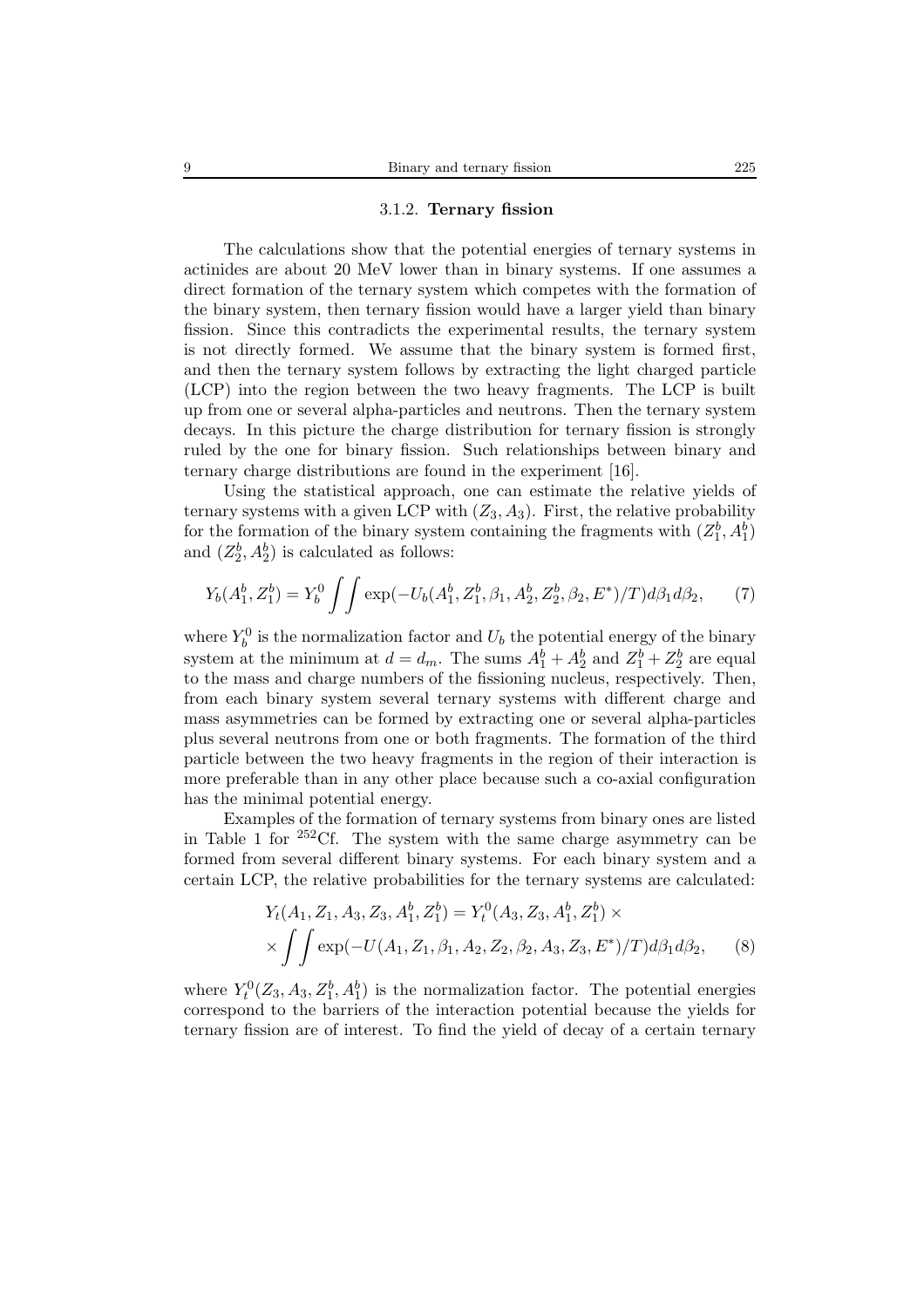#### 3.1.2. **Ternary fission**

The calculations show that the potential energies of ternary systems in actinides are about 20 MeV lower than in binary systems. If one assumes a direct formation of the ternary system which competes with the formation of the binary system, then ternary fission would have a larger yield than binary fission. Since this contradicts the experimental results, the ternary system is not directly formed. We assume that the binary system is formed first, and then the ternary system follows by extracting the light charged particle (LCP) into the region between the two heavy fragments. The LCP is built up from one or several alpha-particles and neutrons. Then the ternary system decays. In this picture the charge distribution for ternary fission is strongly ruled by the one for binary fission. Such relationships between binary and ternary charge distributions are found in the experiment [16].

Using the statistical approach, one can estimate the relative yields of ternary systems with a given LCP with  $(Z_3, A_3)$ . First, the relative probability for the formation of the binary system containing the fragments with  $(Z_1^b, A_1^b)$ and  $(Z_2^b, A_2^b)$  is calculated as follows:

$$
Y_b(A_1^b, Z_1^b) = Y_b^0 \iint \exp(-U_b(A_1^b, Z_1^b, \beta_1, A_2^b, Z_2^b, \beta_2, E^*)/T) d\beta_1 d\beta_2, \tag{7}
$$

where  $Y_b^0$  is the normalization factor and  $U_b$  the potential energy of the binary system at the minimum at  $d = d_m$ . The sums  $A_1^b + A_2^b$  and  $Z_1^b + Z_2^b$  are equal to the mass and charge numbers of the fissioning nucleus, respectively. Then, from each binary system several ternary systems with different charge and mass asymmetries can be formed by extracting one or several alpha-particles plus several neutrons from one or both fragments. The formation of the third particle between the two heavy fragments in the region of their interaction is more preferable than in any other place because such a co-axial configuration has the minimal potential energy.

Examples of the formation of ternary systems from binary ones are listed in Table 1 for  $252 \text{Cf}$ . The system with the same charge asymmetry can be formed from several different binary systems. For each binary system and a certain LCP, the relative probabilities for the ternary systems are calculated:

$$
Y_t(A_1, Z_1, A_3, Z_3, A_1^b, Z_1^b) = Y_t^0(A_3, Z_3, A_1^b, Z_1^b) \times
$$
  
 
$$
\times \iint \exp(-U(A_1, Z_1, \beta_1, A_2, Z_2, \beta_2, A_3, Z_3, E^*)/T) d\beta_1 d\beta_2,
$$
 (8)

where  $Y_t^0(Z_3, A_3, Z_1^b, A_1^b)$  is the normalization factor. The potential energies correspond to the barriers of the interaction potential because the yields for ternary fission are of interest. To find the yield of decay of a certain ternary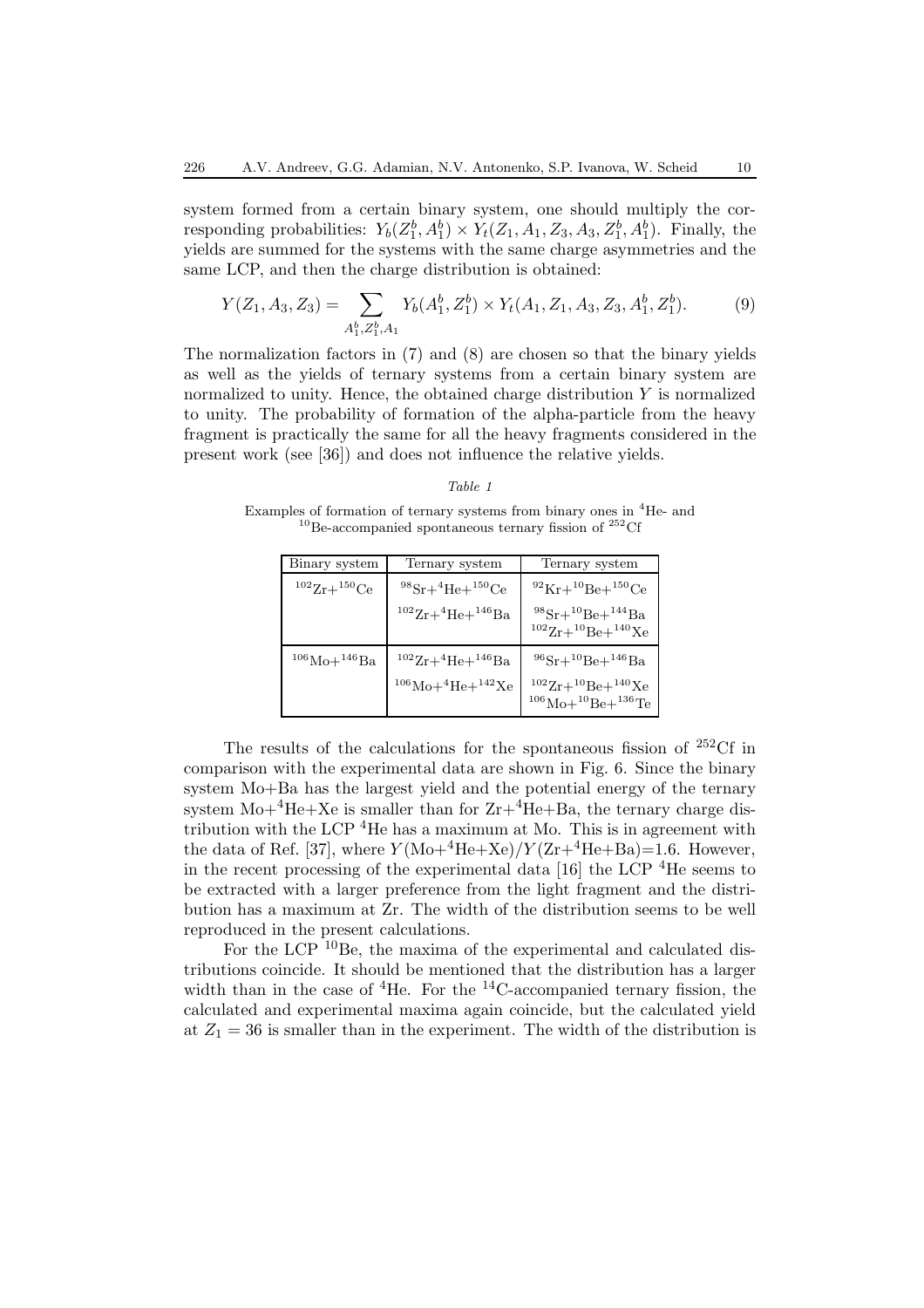system formed from a certain binary system, one should multiply the corresponding probabilities:  $Y_b(Z_1^b, A_1^b) \times Y_t(Z_1, A_1, Z_3, A_3, Z_1^b, A_1^b)$ . Finally, the yields are summed for the systems with the same charge asymmetries and the same LCP, and then the charge distribution is obtained:

$$
Y(Z_1, A_3, Z_3) = \sum_{A_1^b, Z_1^b, A_1} Y_b(A_1^b, Z_1^b) \times Y_t(A_1, Z_1, A_3, Z_3, A_1^b, Z_1^b). \tag{9}
$$

The normalization factors in (7) and (8) are chosen so that the binary yields as well as the yields of ternary systems from a certain binary system are normalized to unity. Hence, the obtained charge distribution  $Y$  is normalized to unity. The probability of formation of the alpha-particle from the heavy fragment is practically the same for all the heavy fragments considered in the present work (see [36]) and does not influence the relative yields.

#### *Table 1*

Examples of formation of ternary systems from binary ones in <sup>4</sup>He- and  $10B$ e-accompanied spontaneous ternary fission of  $252 \text{C}$ f

| Binary system | Ternary system                                                           | Ternary system                                                                                           |
|---------------|--------------------------------------------------------------------------|----------------------------------------------------------------------------------------------------------|
| $1022r+150Ce$ | $^{98}Sr+^{4}He+^{150}Ce$                                                | $^{92}$ Kr+ $^{10}$ Be+ $^{150}$ Ce                                                                      |
|               | $^{102}Zr+^{4}He+^{146}Ba$                                               | $98Sr+10Be+144Ba$<br>$1022r+10Be+140Xe$                                                                  |
| $106Mo+146Ba$ | $^{102}Zr+^{4}He+^{146}Ba$<br>$^{106}{\rm Mo+}^4{\rm He+}^{142}{\rm Xe}$ | $^{96}Sr+^{10}Be+^{146}Ba$<br>$1022r+10Be+140Xe$<br>$^{106}\text{Mo} + ^{10}\text{Be} + ^{136}\text{Te}$ |

The results of the calculations for the spontaneous fission of  $^{252}$ Cf in comparison with the experimental data are shown in Fig. 6. Since the binary system Mo+Ba has the largest yield and the potential energy of the ternary system  $Mo+{}^{4}He+Xe$  is smaller than for  $Zr+{}^{4}\text{He}+Ba$ , the ternary charge distribution with the LCP <sup>4</sup>He has a maximum at Mo. This is in agreement with the data of Ref. [37], where  $Y(\text{Mo}+{}^4\text{He}+\text{Xe})/Y(\text{Zr}+{}^4\text{He}+\text{Ba})=1.6$ . However, in the recent processing of the experimental data [16] the LCP <sup>4</sup>He seems to be extracted with a larger preference from the light fragment and the distribution has a maximum at Zr. The width of the distribution seems to be well reproduced in the present calculations.

For the LCP <sup>10</sup>Be, the maxima of the experimental and calculated distributions coincide. It should be mentioned that the distribution has a larger width than in the case of  ${}^{4}$ He. For the  ${}^{14}$ C-accompanied ternary fission, the calculated and experimental maxima again coincide, but the calculated yield at  $Z_1 = 36$  is smaller than in the experiment. The width of the distribution is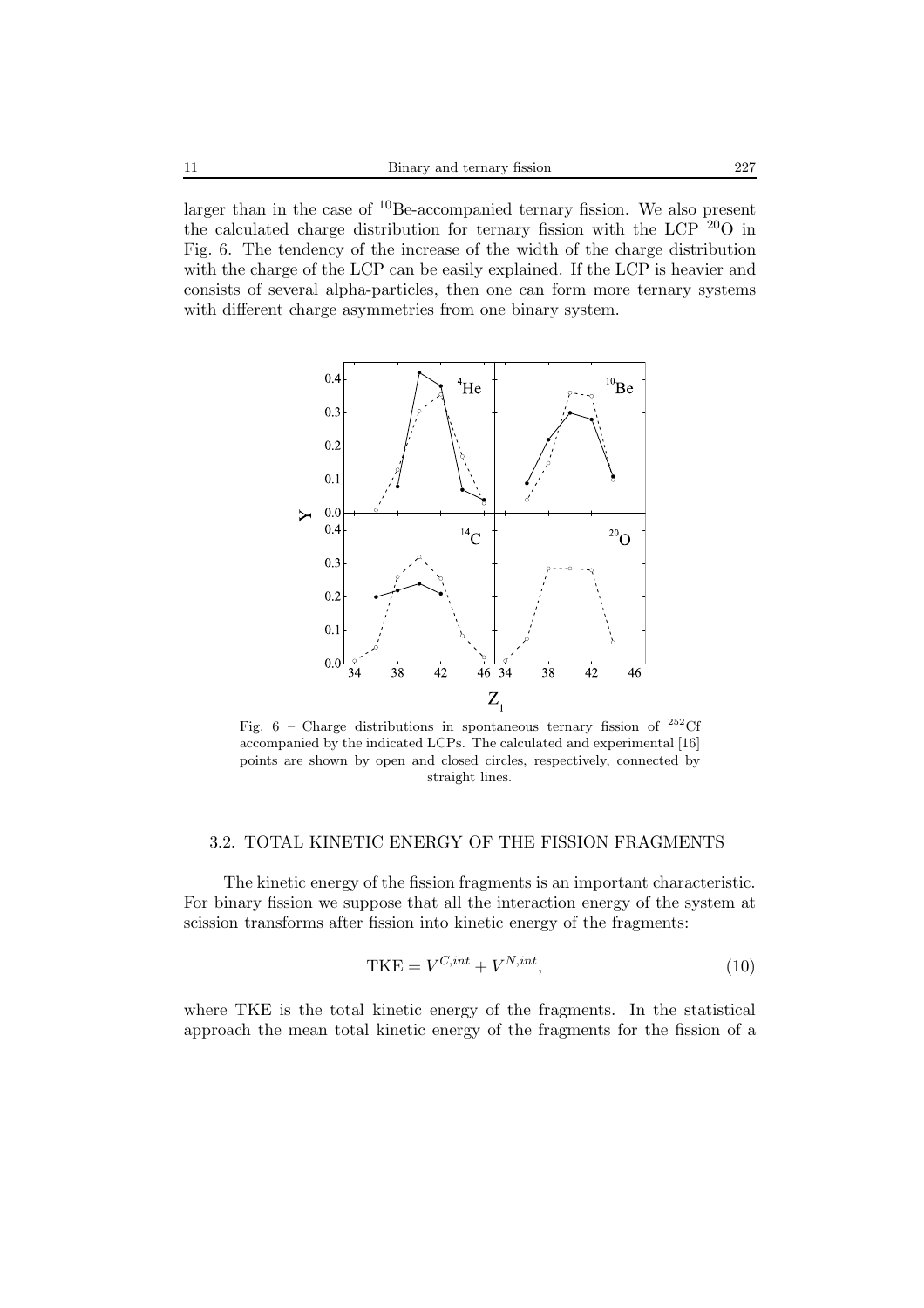larger than in the case of <sup>10</sup>Be-accompanied ternary fission. We also present the calculated charge distribution for ternary fission with the LCP  $^{20}O$  in Fig. 6. The tendency of the increase of the width of the charge distribution with the charge of the LCP can be easily explained. If the LCP is heavier and consists of several alpha-particles, then one can form more ternary systems with different charge asymmetries from one binary system.



Fig. 6 – Charge distributions in spontaneous ternary fission of  $^{252}\mathrm{Cf}$ accompanied by the indicated LCPs. The calculated and experimental [16] points are shown by open and closed circles, respectively, connected by straight lines.

# 3.2. TOTAL KINETIC ENERGY OF THE FISSION FRAGMENTS

The kinetic energy of the fission fragments is an important characteristic. For binary fission we suppose that all the interaction energy of the system at scission transforms after fission into kinetic energy of the fragments:

$$
TKE = V^{C, int} + V^{N, int}, \tag{10}
$$

where TKE is the total kinetic energy of the fragments. In the statistical approach the mean total kinetic energy of the fragments for the fission of a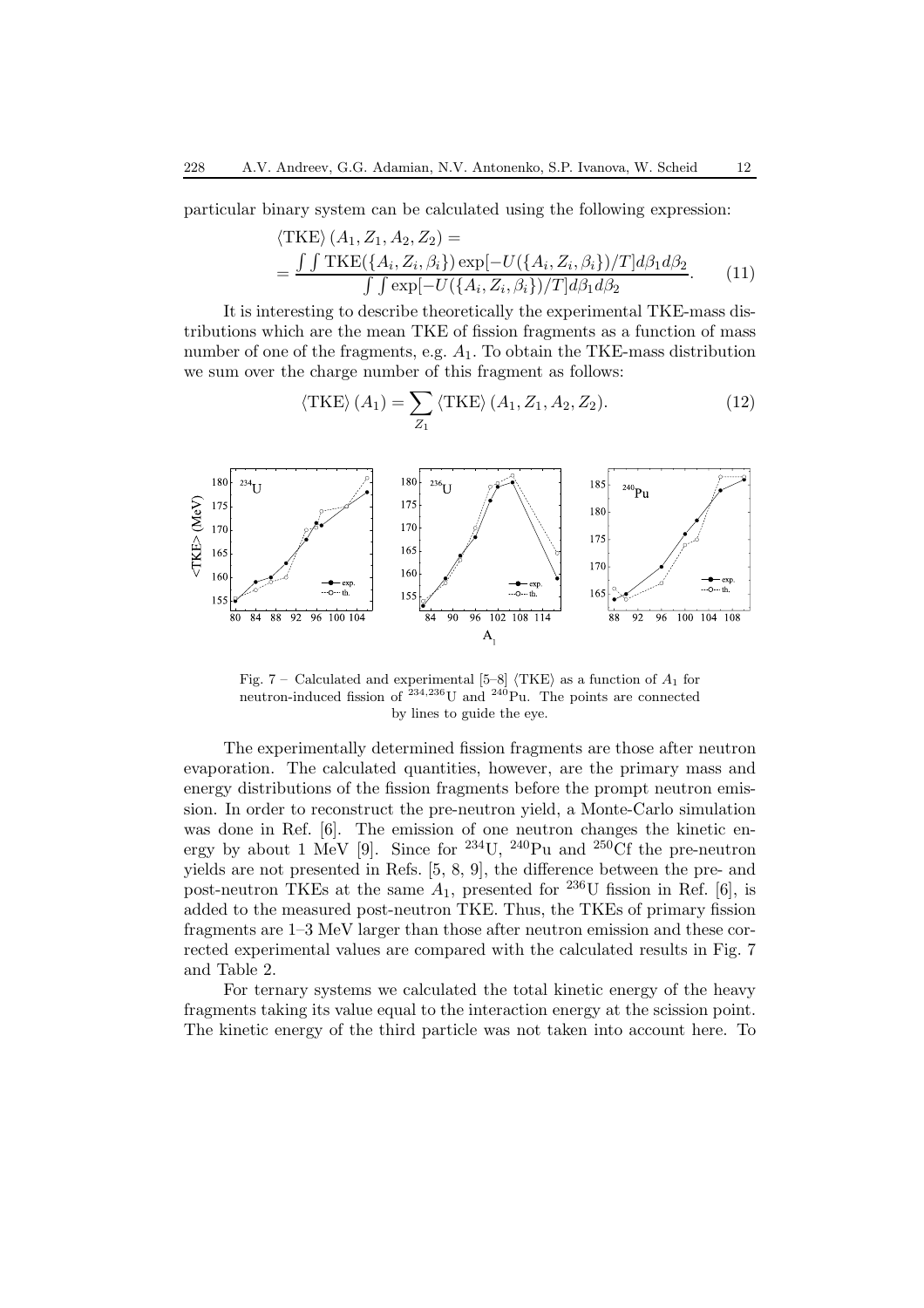particular binary system can be calculated using the following expression:

$$
\langle \text{TKE} \rangle (A_1, Z_1, A_2, Z_2) =
$$
  
= 
$$
\frac{\int \int \text{TKE}(\{A_i, Z_i, \beta_i\}) \exp[-U(\{A_i, Z_i, \beta_i\})/T] d\beta_1 d\beta_2}{\int \int \exp[-U(\{A_i, Z_i, \beta_i\})/T] d\beta_1 d\beta_2}.
$$
 (11)

It is interesting to describe theoretically the experimental TKE-mass distributions which are the mean TKE of fission fragments as a function of mass number of one of the fragments, e.g.  $A_1$ . To obtain the TKE-mass distribution we sum over the charge number of this fragment as follows:

$$
\langle \text{TKE} \rangle \left( A_1 \right) = \sum_{Z_1} \langle \text{TKE} \rangle \left( A_1, Z_1, A_2, Z_2 \right). \tag{12}
$$



Fig. 7 – Calculated and experimental  $[5-8]$   $\langle \text{TKE} \rangle$  as a function of  $A_1$  for neutron-induced fission of  $^{234,236}$ U and  $^{240}$ Pu. The points are connected by lines to guide the eye.

The experimentally determined fission fragments are those after neutron evaporation. The calculated quantities, however, are the primary mass and energy distributions of the fission fragments before the prompt neutron emission. In order to reconstruct the pre-neutron yield, a Monte-Carlo simulation was done in Ref. [6]. The emission of one neutron changes the kinetic energy by about 1 MeV [9]. Since for <sup>234</sup>U, <sup>240</sup>Pu and <sup>250</sup>Cf the pre-neutron yields are not presented in Refs. [5, 8, 9], the difference between the pre- and post-neutron TKEs at the same  $A_1$ , presented for <sup>236</sup>U fission in Ref. [6], is added to the measured post-neutron TKE. Thus, the TKEs of primary fission fragments are 1–3 MeV larger than those after neutron emission and these corrected experimental values are compared with the calculated results in Fig. 7 and Table 2.

For ternary systems we calculated the total kinetic energy of the heavy fragments taking its value equal to the interaction energy at the scission point. The kinetic energy of the third particle was not taken into account here. To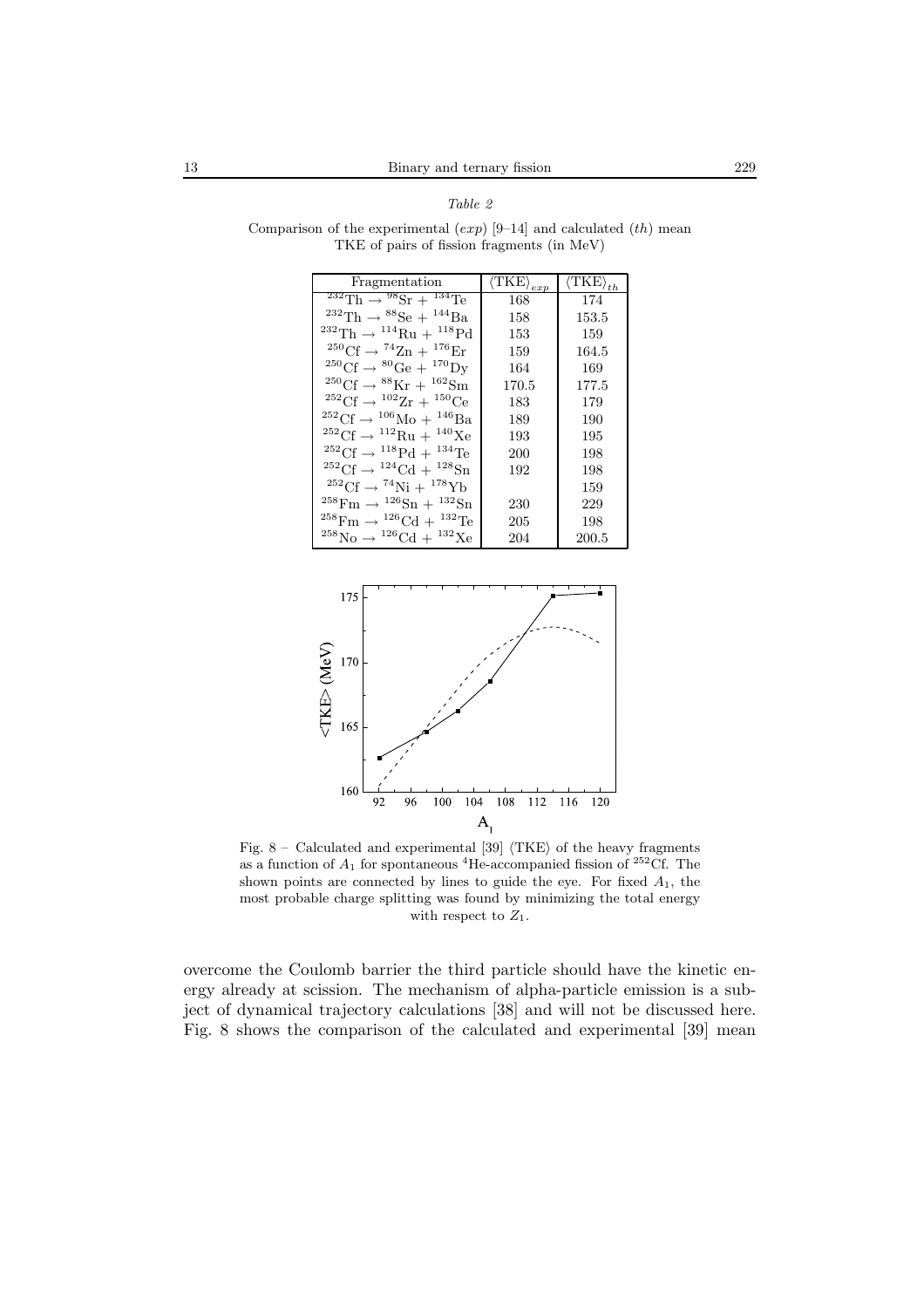| Fragmentation                                                         | $\overline{\langle\text{TKE}\rangle_{exp}}$ | $\overline{\langle\text{TKE}\rangle}_{th}$ |
|-----------------------------------------------------------------------|---------------------------------------------|--------------------------------------------|
| $1^{232} \text{Th} \rightarrow 9^8 \text{Sr} + 1^{34} \text{Te}$      | 168                                         | 174                                        |
| $^{232}Th \rightarrow ^{88}Se + ^{144}Ba$                             | 158                                         | 153.5                                      |
| <sup>232</sup> Th $\rightarrow$ <sup>114</sup> Ru + <sup>118</sup> Pd | 153                                         | 159                                        |
| $^{250}\text{Cf} \rightarrow ^{74}\text{Zn} + ^{176}\text{Er}$        | 159                                         | 164.5                                      |
| $^{250}\text{Cf} \rightarrow ^{80}\text{Ge} + ^{170}\text{Dy}$        | 164                                         | 169                                        |
| $^{250}\text{Cf} \rightarrow ^{88}\text{Kr} + ^{162}\text{Sm}$        | 170.5                                       | 177.5                                      |
| $^{252}$ Cf $\rightarrow$ $^{102}Zr + ^{150}Ce$                       | 183                                         | 179                                        |
| $^{252}$ Cf $\rightarrow$ $^{106}$ Mo + $^{146}$ Ba                   | 189                                         | 190                                        |
| ${}^{252}\text{Cf} \rightarrow {}^{112}\text{Ru} + {}^{140}\text{Xe}$ | 193                                         | 195                                        |
| $^{252}$ Cf $\rightarrow$ $^{118}$ Pd + $^{134}$ Te                   | 200                                         | 198                                        |
| $^{252}$ Cf $\rightarrow$ $^{124}$ Cd + $^{128}$ Sn                   | 192                                         | 198                                        |
| $^{252}$ Cf $\rightarrow$ $^{74}$ Ni + $^{178}$ Yb                    |                                             | 159                                        |
| $^{258}$ Fm $\rightarrow$ $^{126}$ Sn + $^{132}$ Sn                   | 230                                         | 229                                        |
| $^{258}\text{Fm} \rightarrow ^{126}\text{Cd} + ^{132}\text{Te}$       | 205                                         | 198                                        |
| ${}^{258}\text{No} \rightarrow {}^{126}\text{Cd} + {}^{132}\text{Xe}$ | 204                                         | 200.5                                      |

Comparison of the experimental  $(exp)$  [9–14] and calculated  $(th)$  mean TKE of pairs of fission fragments (in MeV)

*Table 2*



Fig. 8 – Calculated and experimental [39]  $\langle TKE \rangle$  of the heavy fragments as a function of  $A_1$  for spontaneous <sup>4</sup>He-accompanied fission of <sup>252</sup>Cf. The shown points are connected by lines to guide the eye. For fixed  $A_1$ , the most probable charge splitting was found by minimizing the total energy with respect to  $Z_1$ .

overcome the Coulomb barrier the third particle should have the kinetic energy already at scission. The mechanism of alpha-particle emission is a subject of dynamical trajectory calculations [38] and will not be discussed here. Fig. 8 shows the comparison of the calculated and experimental [39] mean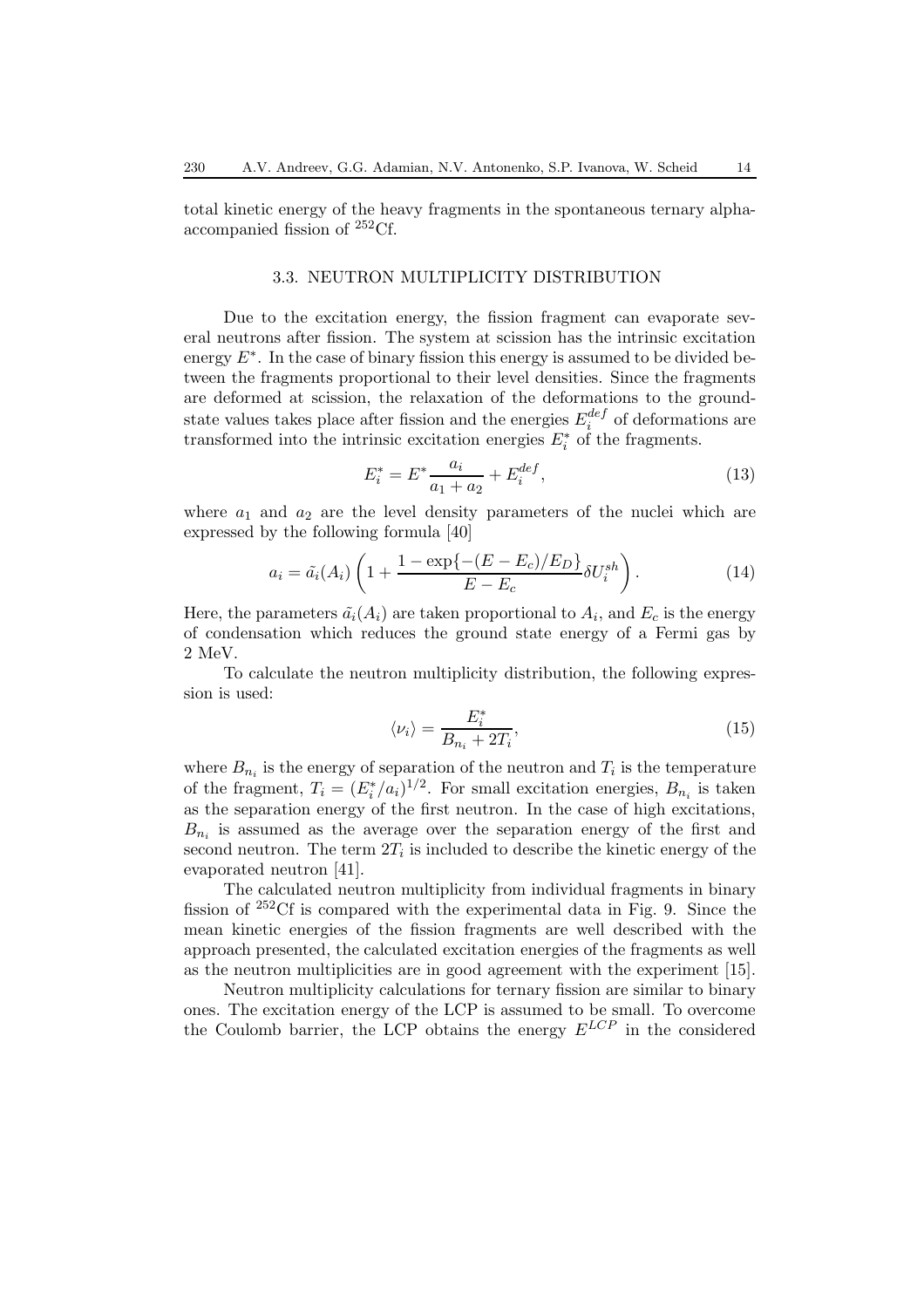total kinetic energy of the heavy fragments in the spontaneous ternary alphaaccompanied fission of <sup>252</sup>Cf.

#### 3.3. NEUTRON MULTIPLICITY DISTRIBUTION

Due to the excitation energy, the fission fragment can evaporate several neutrons after fission. The system at scission has the intrinsic excitation energy  $E^*$ . In the case of binary fission this energy is assumed to be divided between the fragments proportional to their level densities. Since the fragments are deformed at scission, the relaxation of the deformations to the groundstate values takes place after fission and the energies  $E_i^{def}$  of deformations are transformed into the intrinsic excitation energies  $E_i^*$  of the fragments.

$$
E_i^* = E^* \frac{a_i}{a_1 + a_2} + E_i^{def}, \tag{13}
$$

where  $a_1$  and  $a_2$  are the level density parameters of the nuclei which are expressed by the following formula [40]

$$
a_i = \tilde{a}_i(A_i) \left( 1 + \frac{1 - \exp\{-(E - E_c)/E_D\}}{E - E_c} \delta U_i^{sh} \right). \tag{14}
$$

Here, the parameters  $\tilde{a}_i(A_i)$  are taken proportional to  $A_i$ , and  $E_c$  is the energy of condensation which reduces the ground state energy of a Fermi gas by 2 MeV.

To calculate the neutron multiplicity distribution, the following expression is used:

$$
\langle \nu_i \rangle = \frac{E_i^*}{B_{n_i} + 2T_i},\tag{15}
$$

where  $B_{n_i}$  is the energy of separation of the neutron and  $T_i$  is the temperature of the fragment,  $T_i = (E_i^*/a_i)^{1/2}$ . For small excitation energies,  $B_{n_i}$  is taken as the separation energy of the first neutron. In the case of high excitations,  $B_{n_i}$  is assumed as the average over the separation energy of the first and second neutron. The term  $2T_i$  is included to describe the kinetic energy of the evaporated neutron [41].

The calculated neutron multiplicity from individual fragments in binary fission of <sup>252</sup>Cf is compared with the experimental data in Fig. 9. Since the mean kinetic energies of the fission fragments are well described with the approach presented, the calculated excitation energies of the fragments as well as the neutron multiplicities are in good agreement with the experiment [15].

Neutron multiplicity calculations for ternary fission are similar to binary ones. The excitation energy of the LCP is assumed to be small. To overcome the Coulomb barrier, the LCP obtains the energy  $E^{LCP}$  in the considered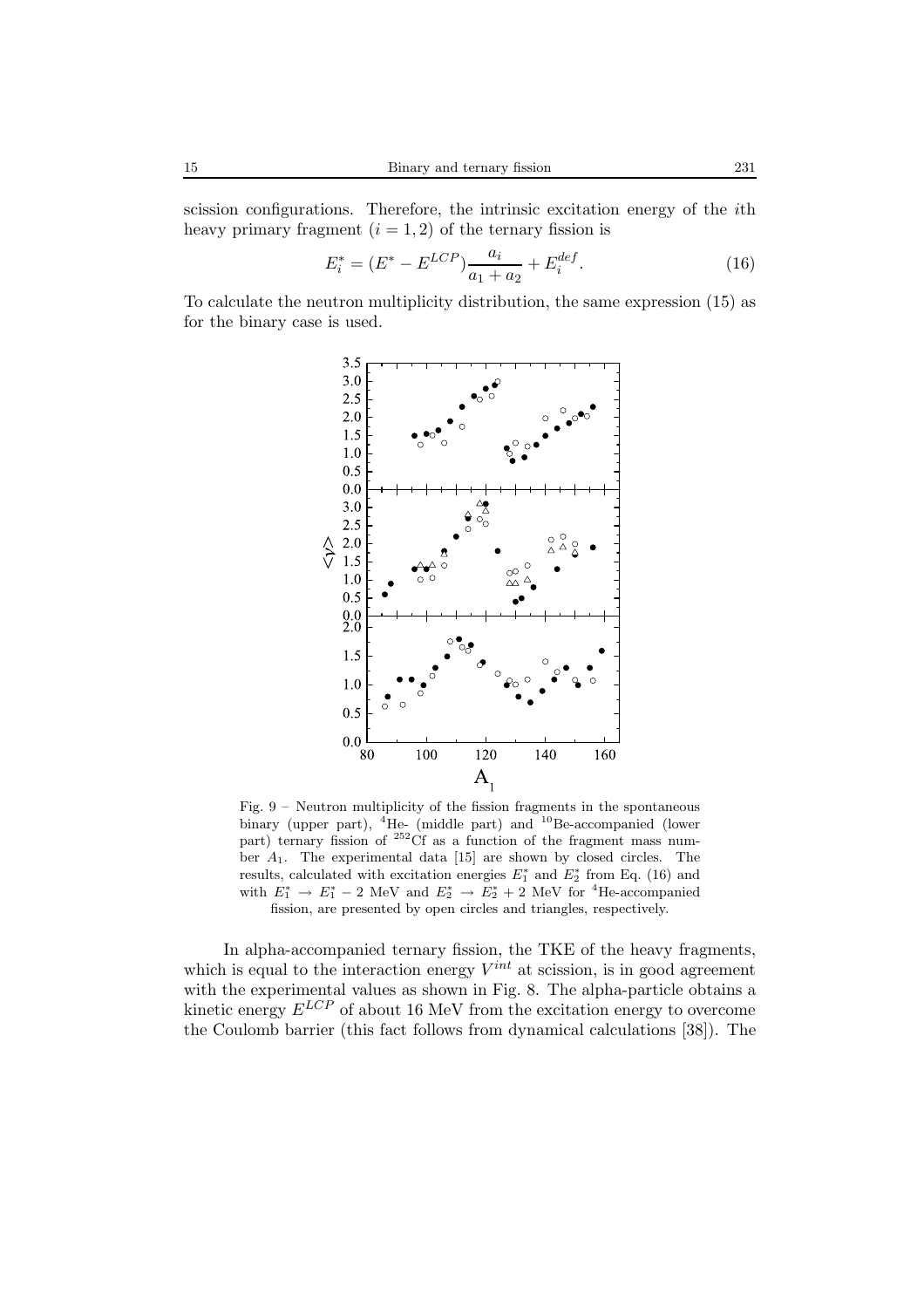scission configurations. Therefore, the intrinsic excitation energy of the ith heavy primary fragment  $(i = 1, 2)$  of the ternary fission is

$$
E_i^* = (E^* - E^{LCP}) \frac{a_i}{a_1 + a_2} + E_i^{def}.
$$
 (16)

To calculate the neutron multiplicity distribution, the same expression (15) as for the binary case is used.



Fig. 9 – Neutron multiplicity of the fission fragments in the spontaneous binary (upper part),  ${}^{4}$ He- (middle part) and  ${}^{10}$ Be-accompanied (lower part) ternary fission of  $252 \text{ C}$ f as a function of the fragment mass number  $A_1$ . The experimental data [15] are shown by closed circles. The results, calculated with excitation energies  $E_1^*$  and  $E_2^*$  from Eq. (16) and with  $E_1^* \rightarrow E_1^* - 2$  MeV and  $E_2^* \rightarrow E_2^* + 2$  MeV for <sup>4</sup>He-accompanied fission, are presented by open circles and triangles, respectively.

In alpha-accompanied ternary fission, the TKE of the heavy fragments, which is equal to the interaction energy  $V^{int}$  at scission, is in good agreement with the experimental values as shown in Fig. 8. The alpha-particle obtains a kinetic energy  $E^{LCP}$  of about 16 MeV from the excitation energy to overcome the Coulomb barrier (this fact follows from dynamical calculations [38]). The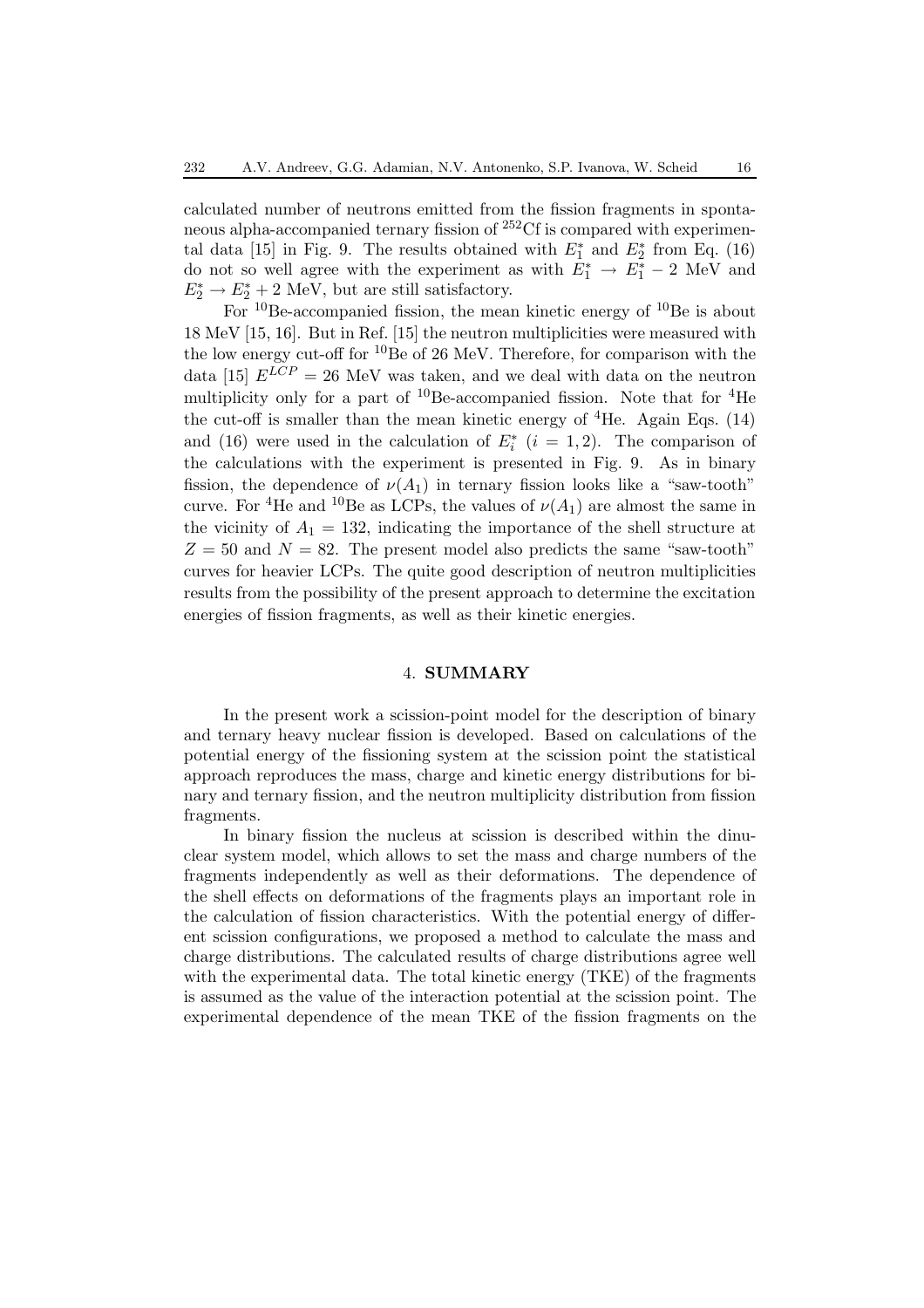calculated number of neutrons emitted from the fission fragments in spontaneous alpha-accompanied ternary fission of <sup>252</sup>Cf is compared with experimental data [15] in Fig. 9. The results obtained with  $E_1^*$  and  $E_2^*$  from Eq. (16) do not so well agree with the experiment as with  $E_1^* \rightarrow E_1^* - 2$  MeV and  $E_2^* \to E_2^* + 2 \text{ MeV}$ , but are still satisfactory.

For  $^{10}$ Be-accompanied fission, the mean kinetic energy of  $^{10}$ Be is about 18 MeV [15, 16]. But in Ref. [15] the neutron multiplicities were measured with the low energy cut-off for  ${}^{10}$ Be of 26 MeV. Therefore, for comparison with the data [15]  $E^{LCP} = 26$  MeV was taken, and we deal with data on the neutron multiplicity only for a part of  ${}^{10}$ Be-accompanied fission. Note that for  ${}^{4}$ He the cut-off is smaller than the mean kinetic energy of  ${}^{4}$ He. Again Eqs. (14) and (16) were used in the calculation of  $E_i^*$  ( $i = 1, 2$ ). The comparison of the calculations with the experiment is presented in Fig. 9. As in binary fission, the dependence of  $\nu(A_1)$  in ternary fission looks like a "saw-tooth" curve. For <sup>4</sup>He and <sup>10</sup>Be as LCPs, the values of  $\nu(A_1)$  are almost the same in the vicinity of  $A_1 = 132$ , indicating the importance of the shell structure at  $Z = 50$  and  $N = 82$ . The present model also predicts the same "saw-tooth" curves for heavier LCPs. The quite good description of neutron multiplicities results from the possibility of the present approach to determine the excitation energies of fission fragments, as well as their kinetic energies.

# 4. **SUMMARY**

In the present work a scission-point model for the description of binary and ternary heavy nuclear fission is developed. Based on calculations of the potential energy of the fissioning system at the scission point the statistical approach reproduces the mass, charge and kinetic energy distributions for binary and ternary fission, and the neutron multiplicity distribution from fission fragments.

In binary fission the nucleus at scission is described within the dinuclear system model, which allows to set the mass and charge numbers of the fragments independently as well as their deformations. The dependence of the shell effects on deformations of the fragments plays an important role in the calculation of fission characteristics. With the potential energy of different scission configurations, we proposed a method to calculate the mass and charge distributions. The calculated results of charge distributions agree well with the experimental data. The total kinetic energy (TKE) of the fragments is assumed as the value of the interaction potential at the scission point. The experimental dependence of the mean TKE of the fission fragments on the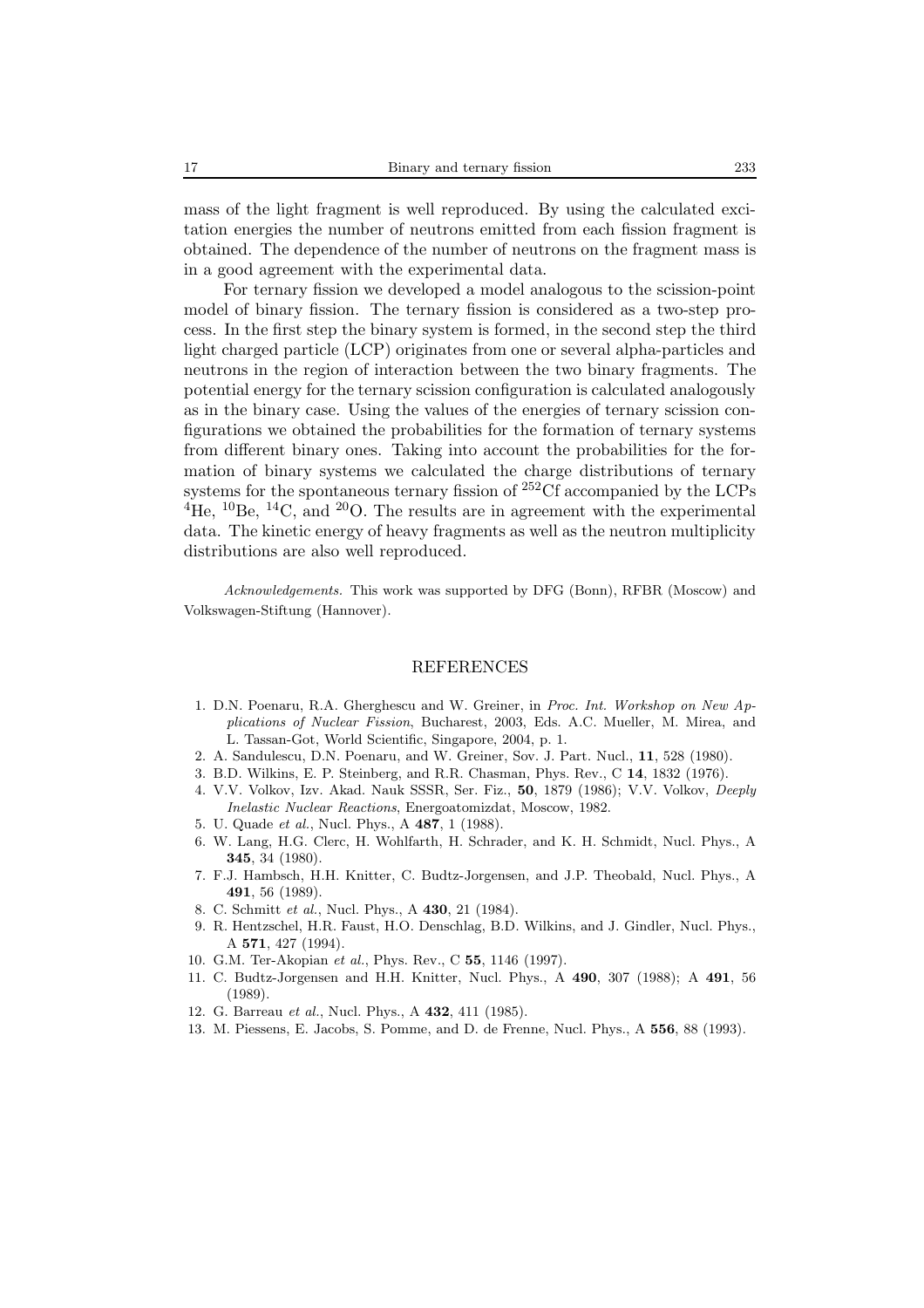mass of the light fragment is well reproduced. By using the calculated excitation energies the number of neutrons emitted from each fission fragment is obtained. The dependence of the number of neutrons on the fragment mass is in a good agreement with the experimental data.

For ternary fission we developed a model analogous to the scission-point model of binary fission. The ternary fission is considered as a two-step process. In the first step the binary system is formed, in the second step the third light charged particle (LCP) originates from one or several alpha-particles and neutrons in the region of interaction between the two binary fragments. The potential energy for the ternary scission configuration is calculated analogously as in the binary case. Using the values of the energies of ternary scission configurations we obtained the probabilities for the formation of ternary systems from different binary ones. Taking into account the probabilities for the formation of binary systems we calculated the charge distributions of ternary systems for the spontaneous ternary fission of <sup>252</sup>Cf accompanied by the LCPs  ${}^{4}$ He,  ${}^{10}$ Be,  ${}^{14}$ C, and  ${}^{20}$ O. The results are in agreement with the experimental data. The kinetic energy of heavy fragments as well as the neutron multiplicity distributions are also well reproduced.

*Acknowledgements.* This work was supported by DFG (Bonn), RFBR (Moscow) and Volkswagen-Stiftung (Hannover).

### REFERENCES

- 1. D.N. Poenaru, R.A. Gherghescu and W. Greiner, in *Proc. Int. Workshop on New Applications of Nuclear Fission*, Bucharest, 2003, Eds. A.C. Mueller, M. Mirea, and L. Tassan-Got, World Scientific, Singapore, 2004, p. 1.
- 2. A. Sandulescu, D.N. Poenaru, and W. Greiner, Sov. J. Part. Nucl., **11**, 528 (1980).
- 3. B.D. Wilkins, E. P. Steinberg, and R.R. Chasman, Phys. Rev., C **14**, 1832 (1976).
- 4. V.V. Volkov, Izv. Akad. Nauk SSSR, Ser. Fiz., **50**, 1879 (1986); V.V. Volkov, *Deeply Inelastic Nuclear Reactions*, Energoatomizdat, Moscow, 1982.
- 5. U. Quade *et al.*, Nucl. Phys., A **487**, 1 (1988).
- 6. W. Lang, H.G. Clerc, H. Wohlfarth, H. Schrader, and K. H. Schmidt, Nucl. Phys., A **345**, 34 (1980).
- 7. F.J. Hambsch, H.H. Knitter, C. Budtz-Jorgensen, and J.P. Theobald, Nucl. Phys., A **491**, 56 (1989).
- 8. C. Schmitt *et al.*, Nucl. Phys., A **430**, 21 (1984).
- 9. R. Hentzschel, H.R. Faust, H.O. Denschlag, B.D. Wilkins, and J. Gindler, Nucl. Phys., A **571**, 427 (1994).
- 10. G.M. Ter-Akopian *et al.*, Phys. Rev., C **55**, 1146 (1997).
- 11. C. Budtz-Jorgensen and H.H. Knitter, Nucl. Phys., A **490**, 307 (1988); A **491**, 56 (1989).
- 12. G. Barreau *et al.*, Nucl. Phys., A **432**, 411 (1985).
- 13. M. Piessens, E. Jacobs, S. Pomme, and D. de Frenne, Nucl. Phys., A **556**, 88 (1993).